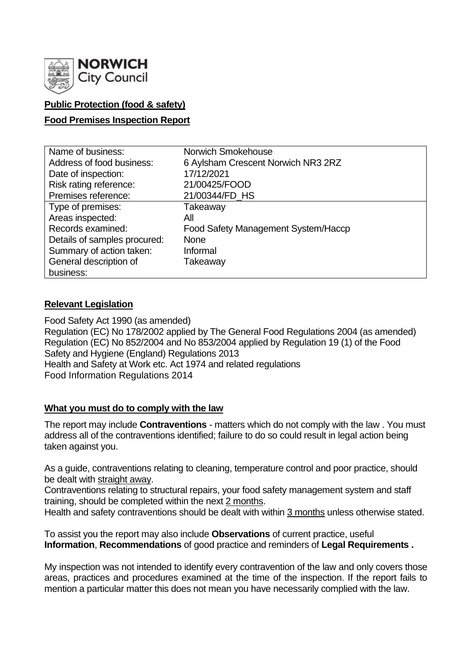

# **Public Protection (food & safety)**

## **Food Premises Inspection Report**

| Name of business:            | Norwich Smokehouse                  |
|------------------------------|-------------------------------------|
| Address of food business:    | 6 Aylsham Crescent Norwich NR3 2RZ  |
| Date of inspection:          | 17/12/2021                          |
| Risk rating reference:       | 21/00425/FOOD                       |
| Premises reference:          | 21/00344/FD_HS                      |
| Type of premises:            | Takeaway                            |
| Areas inspected:             | All                                 |
| Records examined:            | Food Safety Management System/Haccp |
| Details of samples procured: | <b>None</b>                         |
| Summary of action taken:     | Informal                            |
| General description of       | Takeaway                            |
| business:                    |                                     |

### **Relevant Legislation**

Food Safety Act 1990 (as amended) Regulation (EC) No 178/2002 applied by The General Food Regulations 2004 (as amended) Regulation (EC) No 852/2004 and No 853/2004 applied by Regulation 19 (1) of the Food Safety and Hygiene (England) Regulations 2013 Health and Safety at Work etc. Act 1974 and related regulations Food Information Regulations 2014

### **What you must do to comply with the law**

The report may include **Contraventions** - matters which do not comply with the law . You must address all of the contraventions identified; failure to do so could result in legal action being taken against you.

As a guide, contraventions relating to cleaning, temperature control and poor practice, should be dealt with straight away.

Contraventions relating to structural repairs, your food safety management system and staff training, should be completed within the next 2 months.

Health and safety contraventions should be dealt with within 3 months unless otherwise stated.

To assist you the report may also include **Observations** of current practice, useful **Information**, **Recommendations** of good practice and reminders of **Legal Requirements .**

My inspection was not intended to identify every contravention of the law and only covers those areas, practices and procedures examined at the time of the inspection. If the report fails to mention a particular matter this does not mean you have necessarily complied with the law.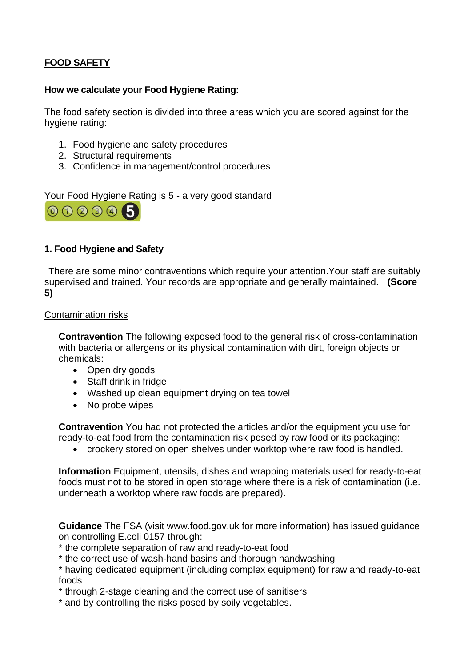# **FOOD SAFETY**

### **How we calculate your Food Hygiene Rating:**

The food safety section is divided into three areas which you are scored against for the hygiene rating:

- 1. Food hygiene and safety procedures
- 2. Structural requirements
- 3. Confidence in management/control procedures

Your Food Hygiene Rating is 5 - a very good standard



## **1. Food Hygiene and Safety**

There are some minor contraventions which require your attention.Your staff are suitably supervised and trained. Your records are appropriate and generally maintained. **(Score 5)**

#### Contamination risks

**Contravention** The following exposed food to the general risk of cross-contamination with bacteria or allergens or its physical contamination with dirt, foreign objects or chemicals:

- Open dry goods
- Staff drink in fridge
- Washed up clean equipment drying on tea towel
- No probe wipes

**Contravention** You had not protected the articles and/or the equipment you use for ready-to-eat food from the contamination risk posed by raw food or its packaging:

• crockery stored on open shelves under worktop where raw food is handled.

**Information** Equipment, utensils, dishes and wrapping materials used for ready-to-eat foods must not to be stored in open storage where there is a risk of contamination (i.e. underneath a worktop where raw foods are prepared).

**Guidance** The FSA (visit www.food.gov.uk for more information) has issued guidance on controlling E.coli 0157 through:

- \* the complete separation of raw and ready-to-eat food
- \* the correct use of wash-hand basins and thorough handwashing

\* having dedicated equipment (including complex equipment) for raw and ready-to-eat foods

\* through 2-stage cleaning and the correct use of sanitisers

\* and by controlling the risks posed by soily vegetables.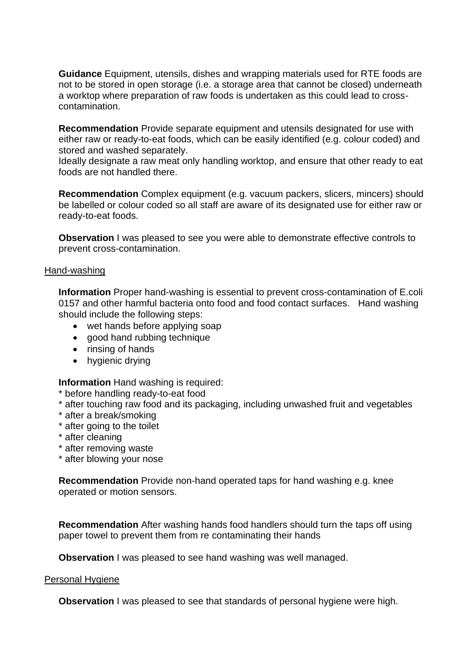**Guidance** Equipment, utensils, dishes and wrapping materials used for RTE foods are not to be stored in open storage (i.e. a storage area that cannot be closed) underneath a worktop where preparation of raw foods is undertaken as this could lead to crosscontamination.

**Recommendation** Provide separate equipment and utensils designated for use with either raw or ready-to-eat foods, which can be easily identified (e.g. colour coded) and stored and washed separately.

Ideally designate a raw meat only handling worktop, and ensure that other ready to eat foods are not handled there.

**Recommendation** Complex equipment (e.g. vacuum packers, slicers, mincers) should be labelled or colour coded so all staff are aware of its designated use for either raw or ready-to-eat foods.

**Observation** I was pleased to see you were able to demonstrate effective controls to prevent cross-contamination.

#### Hand-washing

**Information** Proper hand-washing is essential to prevent cross-contamination of E.coli 0157 and other harmful bacteria onto food and food contact surfaces. Hand washing should include the following steps:

- wet hands before applying soap
- good hand rubbing technique
- rinsing of hands
- hygienic drying

**Information** Hand washing is required:

- \* before handling ready-to-eat food
- \* after touching raw food and its packaging, including unwashed fruit and vegetables
- \* after a break/smoking
- \* after going to the toilet
- \* after cleaning
- \* after removing waste
- \* after blowing your nose

**Recommendation** Provide non-hand operated taps for hand washing e.g. knee operated or motion sensors.

**Recommendation** After washing hands food handlers should turn the taps off using paper towel to prevent them from re contaminating their hands

**Observation** I was pleased to see hand washing was well managed.

#### Personal Hygiene

**Observation** I was pleased to see that standards of personal hygiene were high.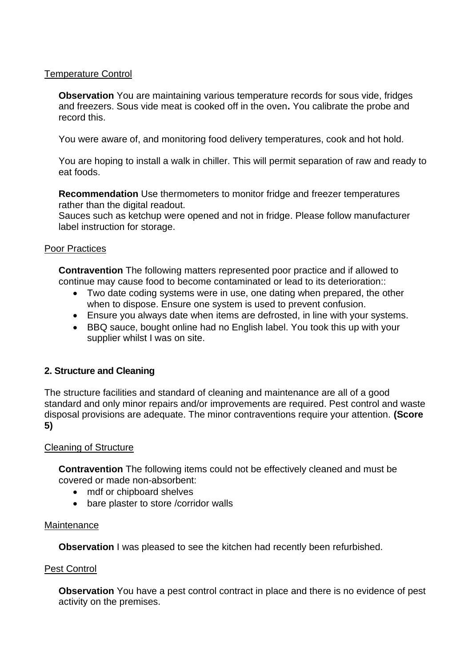## Temperature Control

**Observation** You are maintaining various temperature records for sous vide, fridges and freezers. Sous vide meat is cooked off in the oven**.** You calibrate the probe and record this.

You were aware of, and monitoring food delivery temperatures, cook and hot hold.

You are hoping to install a walk in chiller. This will permit separation of raw and ready to eat foods.

**Recommendation** Use thermometers to monitor fridge and freezer temperatures rather than the digital readout.

Sauces such as ketchup were opened and not in fridge. Please follow manufacturer label instruction for storage.

### Poor Practices

**Contravention** The following matters represented poor practice and if allowed to continue may cause food to become contaminated or lead to its deterioration::

- Two date coding systems were in use, one dating when prepared, the other when to dispose. Ensure one system is used to prevent confusion.
- Ensure you always date when items are defrosted, in line with your systems.
- BBQ sauce, bought online had no English label. You took this up with your supplier whilst I was on site.

# **2. Structure and Cleaning**

The structure facilities and standard of cleaning and maintenance are all of a good standard and only minor repairs and/or improvements are required. Pest control and waste disposal provisions are adequate. The minor contraventions require your attention. **(Score 5)**

### Cleaning of Structure

**Contravention** The following items could not be effectively cleaned and must be covered or made non-absorbent:

- mdf or chipboard shelves
- bare plaster to store /corridor walls

### **Maintenance**

**Observation** I was pleased to see the kitchen had recently been refurbished.

### Pest Control

**Observation** You have a pest control contract in place and there is no evidence of pest activity on the premises.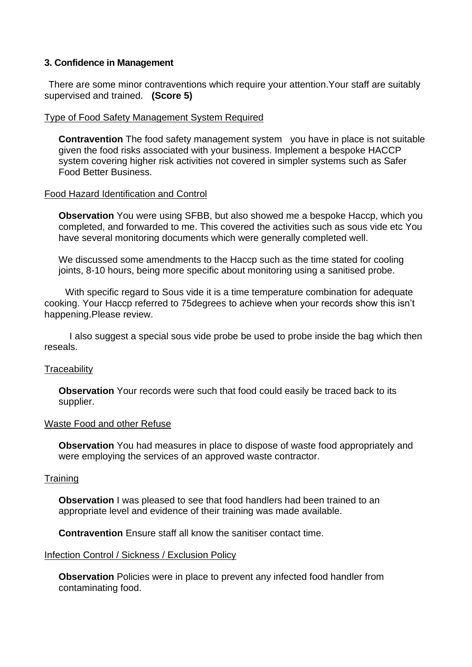#### **3. Confidence in Management**

There are some minor contraventions which require your attention.Your staff are suitably supervised and trained. **(Score 5)**

#### Type of Food Safety Management System Required

**Contravention** The food safety management system you have in place is not suitable given the food risks associated with your business. Implement a bespoke HACCP system covering higher risk activities not covered in simpler systems such as Safer Food Better Business.

#### Food Hazard Identification and Control

**Observation** You were using SFBB, but also showed me a bespoke Haccp, which you completed, and forwarded to me. This covered the activities such as sous vide etc You have several monitoring documents which were generally completed well.

We discussed some amendments to the Haccp such as the time stated for cooling joints, 8-10 hours, being more specific about monitoring using a sanitised probe.

 With specific regard to Sous vide it is a time temperature combination for adequate cooking. Your Haccp referred to 75degrees to achieve when your records show this isn't happening.Please review.

 I also suggest a special sous vide probe be used to probe inside the bag which then reseals.

#### **Traceability**

**Observation** Your records were such that food could easily be traced back to its supplier.

#### Waste Food and other Refuse

**Observation** You had measures in place to dispose of waste food appropriately and were employing the services of an approved waste contractor.

#### **Training**

**Observation** I was pleased to see that food handlers had been trained to an appropriate level and evidence of their training was made available.

**Contravention** Ensure staff all know the sanitiser contact time.

#### Infection Control / Sickness / Exclusion Policy

**Observation** Policies were in place to prevent any infected food handler from contaminating food.